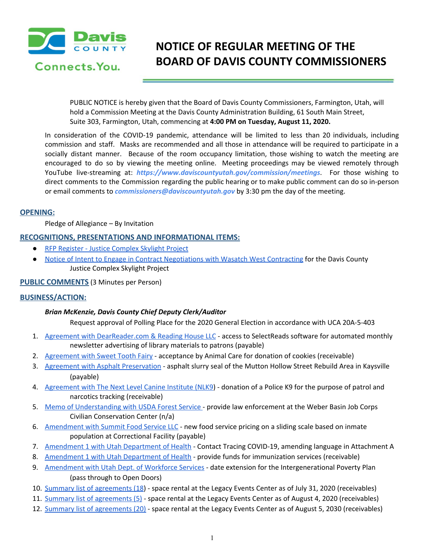

# **NOTICE OF REGULAR MEETING OF THE BOARD OF DAVIS COUNTY COMMISSIONERS**

PUBLIC NOTICE is hereby given that the Board of Davis County Commissioners, Farmington, Utah, will hold a Commission Meeting at the Davis County Administration Building, 61 South Main Street, Suite 303, Farmington, Utah, commencing at **4:00 PM on Tuesday, August 11, 2020.**

In consideration of the COVID-19 pandemic, attendance will be limited to less than 20 individuals, including commission and staff. Masks are recommended and all those in attendance will be required to participate in a socially distant manner. Because of the room occupancy limitation, those wishing to watch the meeting are encouraged to do so by viewing the meeting online. Meeting proceedings may be viewed remotely through YouTube live-streaming at: *https://www.daviscountyutah.gov/commission/meetings*. For those wishing to direct comments to the Commission regarding the public hearing or to make public comment can do so in-person or email comments to *commissioners@daviscountyutah.gov* by 3:30 pm the day of the meeting.

# **OPENING:**

Pledge of Allegiance – By Invitation

## **RECOGNITIONS, PRESENTATIONS AND INFORMATIONAL ITEMS:**

- **RFP Register Justice [Complex](https://drive.google.com/file/d/1CiZI6ibzYzmDqmToLIhGEMyahjkQo_MS/view?usp=drivesdk) Skylight Project**
- Notice of Intent to Engage in Contract [Negotiations](https://drive.google.com/file/d/1Zvwz9stHm-HHNFb6dj9i2zqq1kZCzaHW/view?usp=drivesdk) with Wasatch West Contracting for the Davis County Justice Complex Skylight Project

# **PUBLIC COMMENTS** (3 Minutes per Person)

# **BUSINESS/ACTION:**

#### *Brian McKenzie, Davis County Chief Deputy Clerk/Auditor*

Request approval of Polling Place for the 2020 General Election in accordance with UCA 20A-5-403

- 1. Agreement with [DearReader.com](https://drive.google.com/file/d/1nyp1hY5CVefmRoPIAhu8PLFeW6v8Hfgr/view?usp=drivesdk) & Reading House LLC access to SelectReads software for automated monthly newsletter advertising of library materials to patrons (payable)
- 2. [Agreement](https://drive.google.com/file/d/1oq8CRy7AoqHidlF_iKGV3Gg5KisIxG93/view?usp=drivesdk) with Sweet Tooth Fairy acceptance by Animal Care for donation of cookies (receivable)
- 3. Agreement with Asphalt [Preservation](https://drive.google.com/file/d/1KH3Jx3vO3xcccCHhFmpMdegQo3rykLTA/view?usp=drivesdk) asphalt slurry seal of the Mutton Hollow Street Rebuild Area in Kaysville (payable)
- 4. [Agreement](https://drive.google.com/file/d/1upFHplYI7-YLrLBVTU6gtDBUgnQpAPkJ/view?usp=drivesdk) with The Next Level Canine Institute (NLK9) donation of a Police K9 for the purpose of patrol and narcotics tracking (receivable)
- 5. Memo of [Understanding](https://drive.google.com/file/d/1gqPUwlW-XrwZ2sAYXFvpi1L51WR0rTe2/view?usp=drivesdk) with USDA Forest Service provide law enforcement at the Weber Basin Job Corps Civilian Conservation Center (n/a)
- 6. [Amendment](https://drive.google.com/file/d/1z5vKeELlQP4kkLgFO1zVAzSFa4DCD8Z7/view?usp=drivesdk) with Summit Food Service LLC new food service pricing on a sliding scale based on inmate population at Correctional Facility (payable)
- 7. [Amendment](https://drive.google.com/file/d/1-3G-S-5b4SFm-N5ZxYVH8wva9aSq60dt/view?usp=drivesdk) 1 with Utah Department of Health Contact Tracing COVID-19, amending language in Attachment A
- 8. [Amendment](https://drive.google.com/file/d/1lLgwwWdex9fCJS0EzFKuU4RRn0h2NiXu/view?usp=drivesdk) 1 with Utah Department of Health provide funds for immunization services (receivable)
- 9. [Amendment](https://drive.google.com/file/d/1YEXsXXFb_BszzzDQ5za8co5uWISZUwOu/view?usp=drivesdk) with Utah Dept. of Workforce Services date extension for the Intergenerational Poverty Plan (pass through to Open Doors)
- 10. Summary list of [agreements](https://drive.google.com/file/d/1o-ILrls4ww0Ppdc_kNSzpUj5L8vaSHC1/view?usp=drivesdk) (18) space rental at the Legacy Events Center as of July 31, 2020 (receivables)
- 11. Summary list of [agreements](https://drive.google.com/file/d/1_CYO1Ss8AXBahxEgvG-pCq11rViqY54Z/view?usp=drivesdk) (5) space rental at the Legacy Events Center as of August 4, 2020 (receivables)
- 12. Summary list of [agreements](https://drive.google.com/file/d/1_167w6P4I9-1DHEvDxYmwT9duwZHoO3Y/view?usp=drivesdk) (20) space rental at the Legacy Events Center as of August 5, 2030 (receivables)